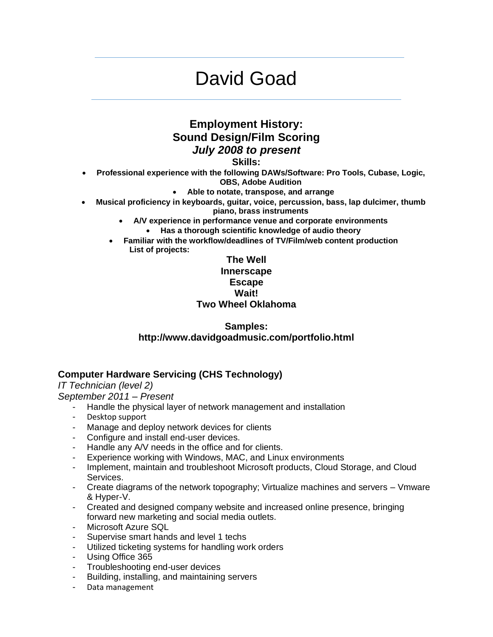# David Goad

## **Employment History: Sound Design/Film Scoring** *July 2008 to present*

**Skills:**

- **Professional experience with the following DAWs/Software: Pro Tools, Cubase, Logic,** 
	- **OBS, Adobe Audition**
	- **Able to notate, transpose, and arrange**
- **Musical proficiency in keyboards, guitar, voice, percussion, bass, lap dulcimer, thumb piano, brass instruments**
	- **A/V experience in performance venue and corporate environments**
		- **Has a thorough scientific knowledge of audio theory**
	- **Familiar with the workflow/deadlines of TV/Film/web content production List of projects:**

#### **The Well Innerscape Escape Wait! Two Wheel Oklahoma**

### **Samples: http://www.davidgoadmusic.com/portfolio.html**

## **Computer Hardware Servicing (CHS Technology)**

*IT Technician (level 2)*

*September 2011 – Present*

- Handle the physical layer of network management and installation
- Desktop support
- Manage and deploy network devices for clients
- Configure and install end-user devices.
- Handle any A/V needs in the office and for clients.
- Experience working with Windows, MAC, and Linux environments
- Implement, maintain and troubleshoot Microsoft products, Cloud Storage, and Cloud Services.
- Create diagrams of the network topography; Virtualize machines and servers Vmware & Hyper-V.
- Created and designed company website and increased online presence, bringing forward new marketing and social media outlets.
- Microsoft Azure SQL
- Supervise smart hands and level 1 techs
- Utilized ticketing systems for handling work orders
- Using Office 365
- Troubleshooting end-user devices
- Building, installing, and maintaining servers
- Data management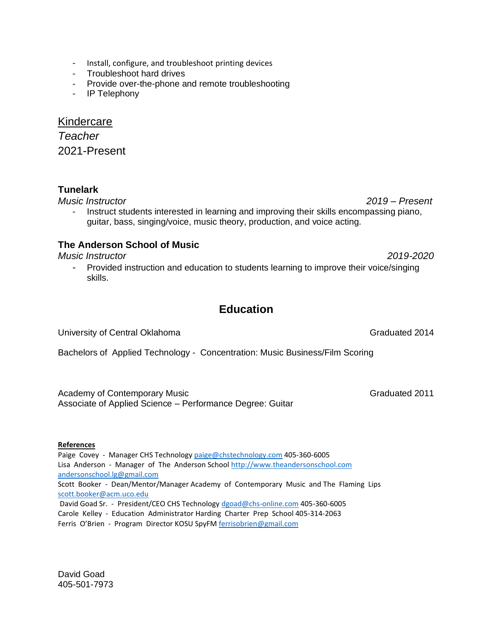- Install, configure, and troubleshoot printing devices
- Troubleshoot hard drives
- Provide over-the-phone and remote troubleshooting
- IP Telephony

#### Kindercare

*Teacher* 2021-Present

#### **Tunelark**

*Music Instructor 2019 – Present*

Instruct students interested in learning and improving their skills encompassing piano, guitar, bass, singing/voice, music theory, production, and voice acting.

#### **The Anderson School of Music**

*Music Instructor 2019-2020*

- Provided instruction and education to students learning to improve their voice/singing skills.

## **Education**

University of Central Oklahoma Graduated 2014

Bachelors of Applied Technology - Concentration: Music Business/Film Scoring

Academy of Contemporary Music Contemporary Music Contemporary Music Contemporary Contemporary Contemporary Contemporary Contemporary Contemporary Contemporary Contemporary Contemporary Contemporary Contemporary Contemporar Associate of Applied Science – Performance Degree: Guitar

#### **References**

Paige Covey - Manager CHS Technolog[y paige@chstechnology.com](mailto:paige@chstechnology.com) 405-360-6005 Lisa Anderson - Manager of The Anderson School [http://www.theandersonschool.com](http://www.theandersonschool.com/) [andersonschool.lg@gmail.com](mailto:andersonschool.lg@gmail.com) Scott Booker - Dean/Mentor/Manager Academy of Contemporary Music and The Flaming Lips [scott.booker@acm.uco.edu](mailto:scott.booker@acm.uco.edu) David Goad Sr. - President/CEO CHS Technology [dgoad@chs-online.com](mailto:dgoad@chs-online.com) 405-360-6005 Carole Kelley - Education Administrator Harding Charter Prep School 405-314-2063

Ferris O'Brien - Program Director KOSU SpyF[M ferrisobrien@gmail.com](mailto:ferrisobrien@gmail.com) 

David Goad 405-501-7973